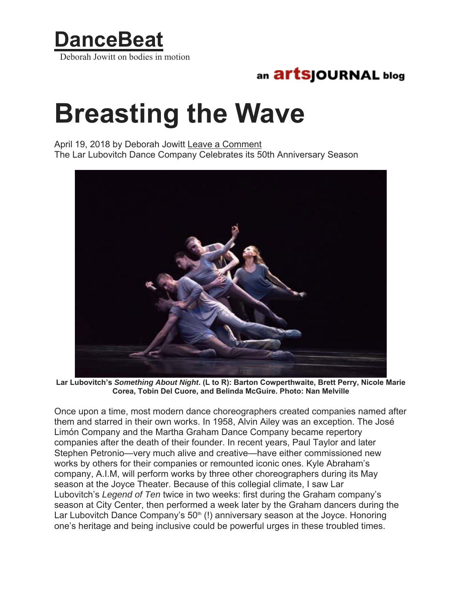

## an **artsjournal** blog

## **Breasting the Wave**

April 19, 2018 by Deborah Jowitt Leave a Comment The Lar Lubovitch Dance Company Celebrates its 50th Anniversary Season



**Lar Lubovitch's** *Something About Night***. (L to R): Barton Cowperthwaite, Brett Perry, Nicole Marie Corea, Tobin Del Cuore, and Belinda McGuire. Photo: Nan Melville** 

Once upon a time, most modern dance choreographers created companies named after them and starred in their own works. In 1958, Alvin Ailey was an exception. The José Limón Company and the Martha Graham Dance Company became repertory companies after the death of their founder. In recent years, Paul Taylor and later Stephen Petronio—very much alive and creative—have either commissioned new works by others for their companies or remounted iconic ones. Kyle Abraham's company, A.I.M, will perform works by three other choreographers during its May season at the Joyce Theater. Because of this collegial climate, I saw Lar Lubovitch's *Legend of Ten* twice in two weeks: first during the Graham company's season at City Center, then performed a week later by the Graham dancers during the Lar Lubovitch Dance Company's  $50<sup>th</sup>$  (!) anniversary season at the Joyce. Honoring one's heritage and being inclusive could be powerful urges in these troubled times.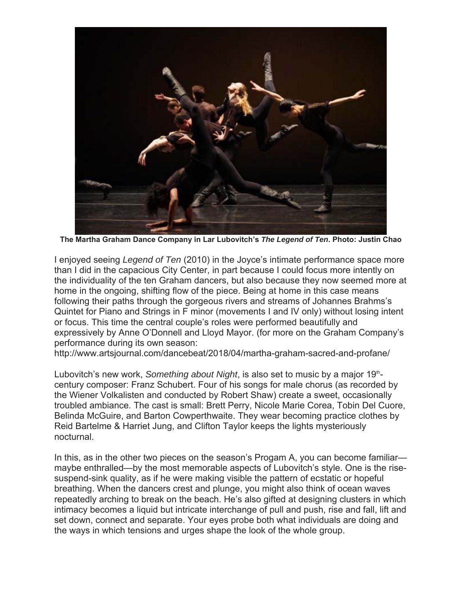

**The Martha Graham Dance Company in Lar Lubovitch's** *The Legend of Ten***. Photo: Justin Chao** 

I enjoyed seeing *Legend of Ten* (2010) in the Joyce's intimate performance space more than I did in the capacious City Center, in part because I could focus more intently on the individuality of the ten Graham dancers, but also because they now seemed more at home in the ongoing, shifting flow of the piece. Being at home in this case means following their paths through the gorgeous rivers and streams of Johannes Brahms's Quintet for Piano and Strings in F minor (movements I and IV only) without losing intent or focus. This time the central couple's roles were performed beautifully and expressively by Anne O'Donnell and Lloyd Mayor. (for more on the Graham Company's performance during its own season:

http://www.artsjournal.com/dancebeat/2018/04/martha-graham-sacred-and-profane/

Lubovitch's new work, *Something about Night*, is also set to music by a major 19thcentury composer: Franz Schubert. Four of his songs for male chorus (as recorded by the Wiener Volkalisten and conducted by Robert Shaw) create a sweet, occasionally troubled ambiance. The cast is small: Brett Perry, Nicole Marie Corea, Tobin Del Cuore, Belinda McGuire, and Barton Cowperthwaite. They wear becoming practice clothes by Reid Bartelme & Harriet Jung, and Clifton Taylor keeps the lights mysteriously nocturnal.

In this, as in the other two pieces on the season's Progam A, you can become familiar maybe enthralled—by the most memorable aspects of Lubovitch's style. One is the risesuspend-sink quality, as if he were making visible the pattern of ecstatic or hopeful breathing. When the dancers crest and plunge, you might also think of ocean waves repeatedly arching to break on the beach. He's also gifted at designing clusters in which intimacy becomes a liquid but intricate interchange of pull and push, rise and fall, lift and set down, connect and separate. Your eyes probe both what individuals are doing and the ways in which tensions and urges shape the look of the whole group.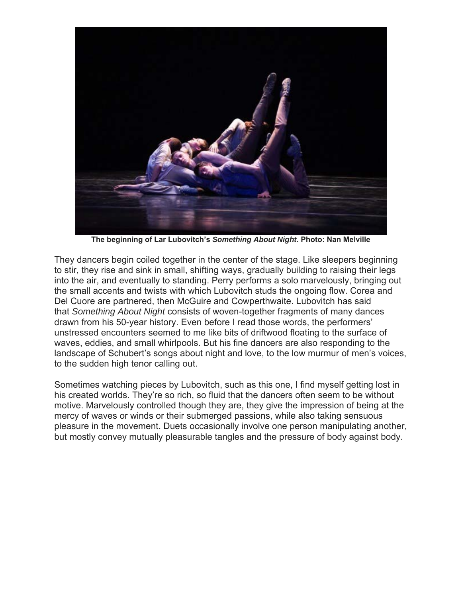

**The beginning of Lar Lubovitch's** *Something About Night***. Photo: Nan Melville** 

They dancers begin coiled together in the center of the stage. Like sleepers beginning to stir, they rise and sink in small, shifting ways, gradually building to raising their legs into the air, and eventually to standing. Perry performs a solo marvelously, bringing out the small accents and twists with which Lubovitch studs the ongoing flow. Corea and Del Cuore are partnered, then McGuire and Cowperthwaite. Lubovitch has said that *Something About Night* consists of woven-together fragments of many dances drawn from his 50-year history. Even before I read those words, the performers' unstressed encounters seemed to me like bits of driftwood floating to the surface of waves, eddies, and small whirlpools. But his fine dancers are also responding to the landscape of Schubert's songs about night and love, to the low murmur of men's voices, to the sudden high tenor calling out.

Sometimes watching pieces by Lubovitch, such as this one, I find myself getting lost in his created worlds. They're so rich, so fluid that the dancers often seem to be without motive. Marvelously controlled though they are, they give the impression of being at the mercy of waves or winds or their submerged passions, while also taking sensuous pleasure in the movement. Duets occasionally involve one person manipulating another, but mostly convey mutually pleasurable tangles and the pressure of body against body.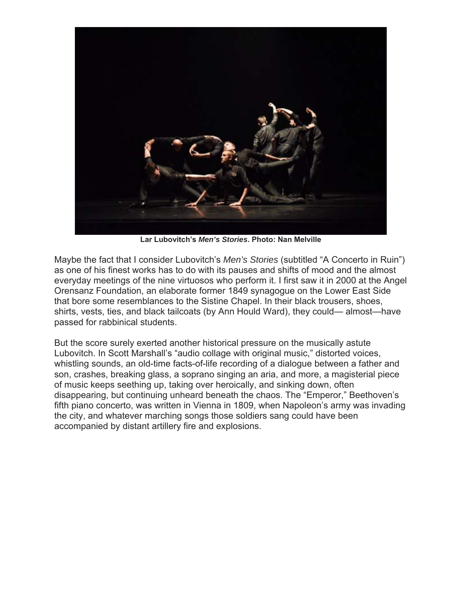

**Lar Lubovitch's** *Men's Stories***. Photo: Nan Melville** 

Maybe the fact that I consider Lubovitch's *Men's Stories* (subtitled "A Concerto in Ruin") as one of his finest works has to do with its pauses and shifts of mood and the almost everyday meetings of the nine virtuosos who perform it. I first saw it in 2000 at the Angel Orensanz Foundation, an elaborate former 1849 synagogue on the Lower East Side that bore some resemblances to the Sistine Chapel. In their black trousers, shoes, shirts, vests, ties, and black tailcoats (by Ann Hould Ward), they could— almost—have passed for rabbinical students.

But the score surely exerted another historical pressure on the musically astute Lubovitch. In Scott Marshall's "audio collage with original music," distorted voices, whistling sounds, an old-time facts-of-life recording of a dialogue between a father and son, crashes, breaking glass, a soprano singing an aria, and more, a magisterial piece of music keeps seething up, taking over heroically, and sinking down, often disappearing, but continuing unheard beneath the chaos. The "Emperor," Beethoven's fifth piano concerto, was written in Vienna in 1809, when Napoleon's army was invading the city, and whatever marching songs those soldiers sang could have been accompanied by distant artillery fire and explosions.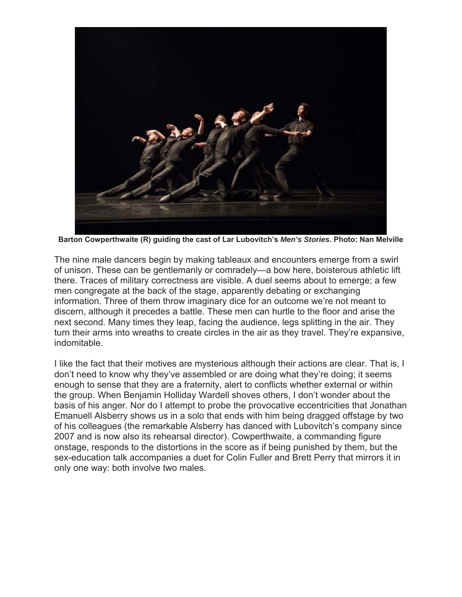

**Barton Cowperthwaite (R) guiding the cast of Lar Lubovitch's** *Men's Stories***. Photo: Nan Melville** 

The nine male dancers begin by making tableaux and encounters emerge from a swirl of unison. These can be gentlemanly or comradely—a bow here, boisterous athletic lift there. Traces of military correctness are visible. A duel seems about to emerge; a few men congregate at the back of the stage, apparently debating or exchanging information. Three of them throw imaginary dice for an outcome we're not meant to discern, although it precedes a battle. These men can hurtle to the floor and arise the next second. Many times they leap, facing the audience, legs splitting in the air. They turn their arms into wreaths to create circles in the air as they travel. They're expansive, indomitable.

I like the fact that their motives are mysterious although their actions are clear. That is, I don't need to know why they've assembled or are doing what they're doing; it seems enough to sense that they are a fraternity, alert to conflicts whether external or within the group. When Benjamin Holliday Wardell shoves others, I don't wonder about the basis of his anger. Nor do I attempt to probe the provocative eccentricities that Jonathan Emanuell Alsberry shows us in a solo that ends with him being dragged offstage by two of his colleagues (the remarkable Alsberry has danced with Lubovitch's company since 2007 and is now also its rehearsal director). Cowperthwaite, a commanding figure onstage, responds to the distortions in the score as if being punished by them, but the sex-education talk accompanies a duet for Colin Fuller and Brett Perry that mirrors it in only one way: both involve two males.